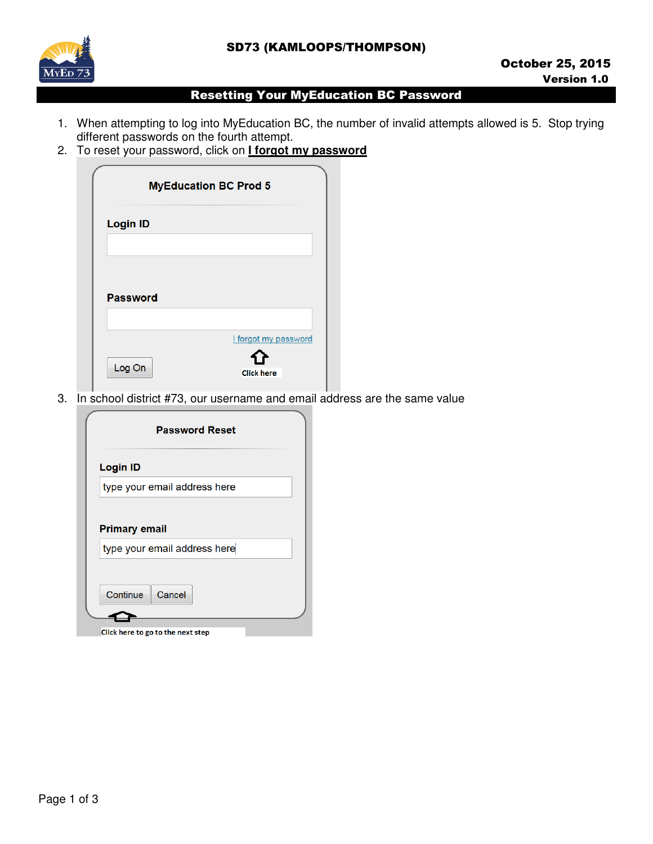## SD73 (KAMLOOPS/THOMPSON)



## Resetting Your MyEducation BC Password

- 1. When attempting to log into MyEducation BC, the number of invalid attempts allowed is 5. Stop trying different passwords on the fourth attempt.
- 2. To reset your password, click on **I forgot my password**

|                 | <b>MyEducation BC Prod 5</b> |
|-----------------|------------------------------|
| <b>Login ID</b> |                              |
|                 |                              |
| <b>Password</b> |                              |
|                 |                              |
|                 | I forgot my password         |
| Log On          | <b>Click here</b>            |

3. In school district #73, our username and email address are the same value

|                      | <b>Password Reset</b>        |  |
|----------------------|------------------------------|--|
| <b>Login ID</b>      |                              |  |
|                      | type your email address here |  |
|                      |                              |  |
| <b>Primary email</b> | type your email address here |  |
|                      |                              |  |
| Continue             | Cancel                       |  |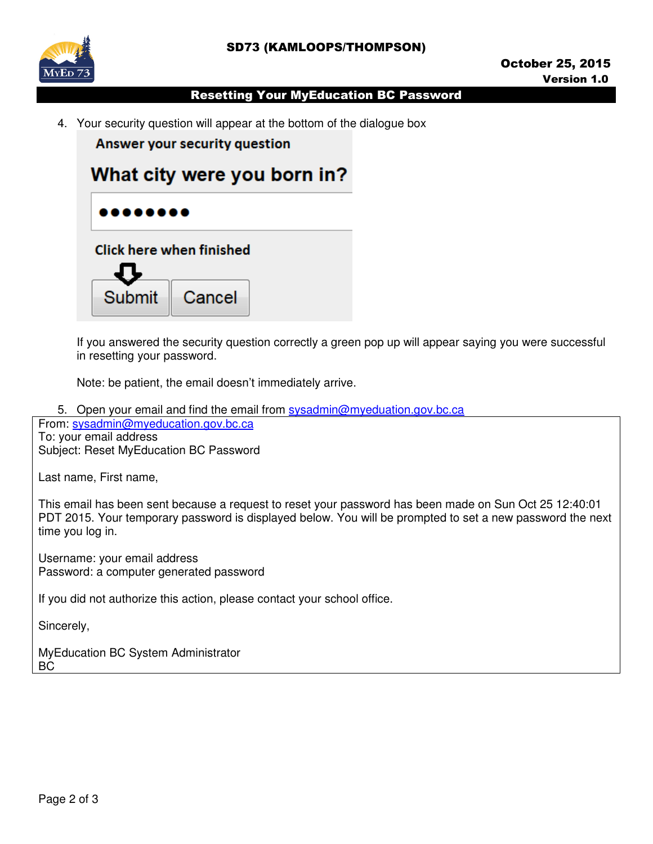

## Resetting Your MyEducation BC Password

4. Your security question will appear at the bottom of the dialogue box

**Answer your security question** 



If you answered the security question correctly a green pop up will appear saying you were successful in resetting your password.

Note: be patient, the email doesn't immediately arrive.

5. Open your email and find the email from sysadmin@myeduation.gov.bc.ca

From: sysadmin@myeducation.gov.bc.ca To: your email address

Subject: Reset MyEducation BC Password

Last name, First name,

This email has been sent because a request to reset your password has been made on Sun Oct 25 12:40:01 PDT 2015. Your temporary password is displayed below. You will be prompted to set a new password the next time you log in.

Username: your email address Password: a computer generated password

If you did not authorize this action, please contact your school office.

Sincerely,

MyEducation BC System Administrator BC